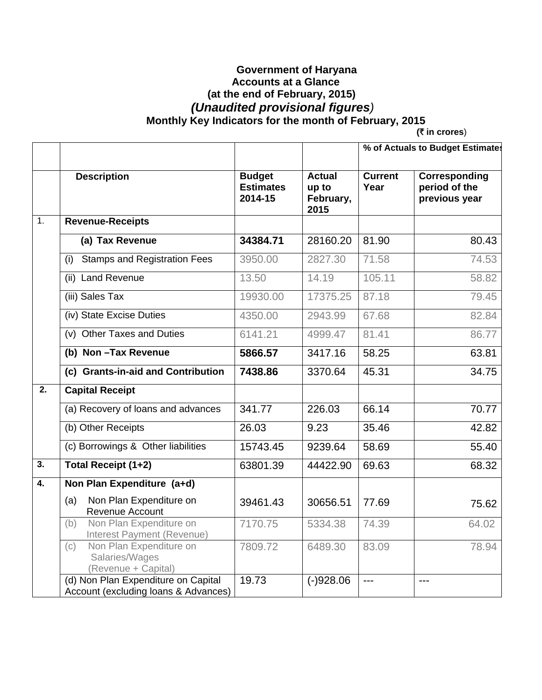## **Government of Haryana Accounts at a Glance (at the end of February, 2015)**   *(Unaudited provisional figures)*   **Monthly Key Indicators for the month of February, 2015**

**(**` **in crores**)

|                           |                                                                             |                                              |                                             | % of Actuals to Budget Estimates |                                                 |
|---------------------------|-----------------------------------------------------------------------------|----------------------------------------------|---------------------------------------------|----------------------------------|-------------------------------------------------|
|                           | <b>Description</b>                                                          | <b>Budget</b><br><b>Estimates</b><br>2014-15 | <b>Actual</b><br>up to<br>February,<br>2015 | <b>Current</b><br>Year           | Corresponding<br>period of the<br>previous year |
| $\overline{1}$ .          | <b>Revenue-Receipts</b>                                                     |                                              |                                             |                                  |                                                 |
|                           | (a) Tax Revenue                                                             | 34384.71                                     | 28160.20                                    | 81.90                            | 80.43                                           |
|                           | <b>Stamps and Registration Fees</b><br>(i)                                  | 3950.00                                      | 2827.30                                     | 71.58                            | 74.53                                           |
|                           | (ii) Land Revenue                                                           | 13.50                                        | 14.19                                       | 105.11                           | 58.82                                           |
|                           | (iii) Sales Tax                                                             | 19930.00                                     | 17375.25                                    | 87.18                            | 79.45                                           |
|                           | (iv) State Excise Duties                                                    | 4350.00                                      | 2943.99                                     | 67.68                            | 82.84                                           |
|                           | (v) Other Taxes and Duties                                                  | 6141.21                                      | 4999.47                                     | 81.41                            | 86.77                                           |
|                           | (b) Non-Tax Revenue                                                         | 5866.57                                      | 3417.16                                     | 58.25                            | 63.81                                           |
|                           | (c) Grants-in-aid and Contribution                                          | 7438.86                                      | 3370.64                                     | 45.31                            | 34.75                                           |
| 2.                        | <b>Capital Receipt</b>                                                      |                                              |                                             |                                  |                                                 |
|                           | (a) Recovery of loans and advances                                          | 341.77                                       | 226.03                                      | 66.14                            | 70.77                                           |
|                           | (b) Other Receipts                                                          | 26.03                                        | 9.23                                        | 35.46                            | 42.82                                           |
|                           | (c) Borrowings & Other liabilities                                          | 15743.45                                     | 9239.64                                     | 58.69                            | 55.40                                           |
| $\overline{\mathbf{3}}$ . | Total Receipt (1+2)                                                         | 63801.39                                     | 44422.90                                    | 69.63                            | 68.32                                           |
| 4.                        | Non Plan Expenditure (a+d)                                                  |                                              |                                             |                                  |                                                 |
|                           | Non Plan Expenditure on<br>(a)<br>Revenue Account                           | 39461.43                                     | 30656.51                                    | 77.69                            | 75.62                                           |
|                           | Non Plan Expenditure on<br>(b)<br>Interest Payment (Revenue)                | 7170.75                                      | 5334.38                                     | 74.39                            | 64.02                                           |
|                           | Non Plan Expenditure on<br>(c)<br>Salaries/Wages<br>(Revenue + Capital)     | 7809.72                                      | 6489.30                                     | 83.09                            | 78.94                                           |
|                           | (d) Non Plan Expenditure on Capital<br>Account (excluding loans & Advances) | 19.73                                        | $(-)928.06$                                 | ---                              | ---                                             |